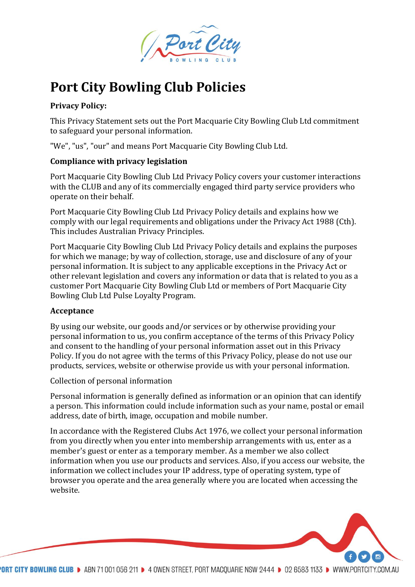

# **Port City Bowling Club Policies**

# **Privacy Policy:**

This Privacy Statement sets out the Port Macquarie City Bowling Club Ltd commitment to safeguard your personal information.

"We", "us", "our" and means Port Macquarie City Bowling Club Ltd.

# **Compliance with privacy legislation**

Port Macquarie City Bowling Club Ltd Privacy Policy covers your customer interactions with the CLUB and any of its commercially engaged third party service providers who operate on their behalf.

Port Macquarie City Bowling Club Ltd Privacy Policy details and explains how we comply with our legal requirements and obligations under the Privacy Act 1988 (Cth). This includes Australian Privacy Principles.

Port Macquarie City Bowling Club Ltd Privacy Policy details and explains the purposes for which we manage; by way of collection, storage, use and disclosure of any of your personal information. It is subject to any applicable exceptions in the Privacy Act or other relevant legislation and covers any information or data that is related to you as a customer Port Macquarie City Bowling Club Ltd or members of Port Macquarie City Bowling Club Ltd Pulse Loyalty Program.

# **Acceptance**

By using our website, our goods and/or services or by otherwise providing your personal information to us, you confirm acceptance of the terms of this Privacy Policy and consent to the handling of your personal information asset out in this Privacy Policy. If you do not agree with the terms of this Privacy Policy, please do not use our products, services, website or otherwise provide us with your personal information.

Collection of personal information

Personal information is generally defined as information or an opinion that can identify a person. This information could include information such as your name, postal or email address, date of birth, image, occupation and mobile number.

In accordance with the Registered Clubs Act 1976, we collect your personal information from you directly when you enter into membership arrangements with us, enter as a member's guest or enter as a temporary member. As a member we also collect information when you use our products and services. Also, if you access our website, the information we collect includes your IP address, type of operating system, type of browser you operate and the area generally where you are located when accessing the website.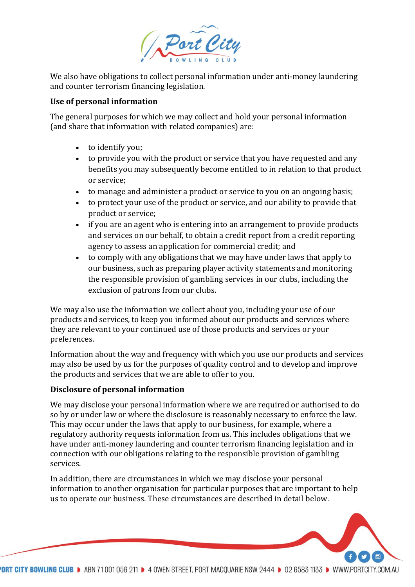

We also have obligations to collect personal information under anti-money laundering and counter terrorism financing legislation.

## **Use of personal information**

The general purposes for which we may collect and hold your personal information (and share that information with related companies) are:

- to identify you;
- to provide you with the product or service that you have requested and any benefits you may subsequently become entitled to in relation to that product or service;
- to manage and administer a product or service to you on an ongoing basis;
- to protect your use of the product or service, and our ability to provide that product or service;
- if you are an agent who is entering into an arrangement to provide products and services on our behalf, to obtain a credit report from a credit reporting agency to assess an application for commercial credit; and
- to comply with any obligations that we may have under laws that apply to our business, such as preparing player activity statements and monitoring the responsible provision of gambling services in our clubs, including the exclusion of patrons from our clubs.

We may also use the information we collect about you, including your use of our products and services, to keep you informed about our products and services where they are relevant to your continued use of those products and services or your preferences.

Information about the way and frequency with which you use our products and services may also be used by us for the purposes of quality control and to develop and improve the products and services that we are able to offer to you.

# **Disclosure of personal information**

We may disclose your personal information where we are required or authorised to do so by or under law or where the disclosure is reasonably necessary to enforce the law. This may occur under the laws that apply to our business, for example, where a regulatory authority requests information from us. This includes obligations that we have under anti-money laundering and counter terrorism financing legislation and in connection with our obligations relating to the responsible provision of gambling services.

In addition, there are circumstances in which we may disclose your personal information to another organisation for particular purposes that are important to help us to operate our business. These circumstances are described in detail below.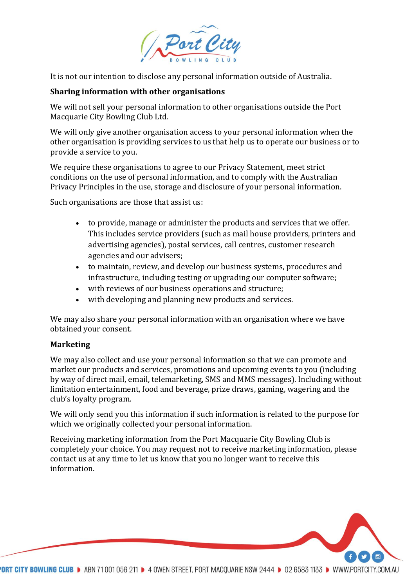

It is not our intention to disclose any personal information outside of Australia.

### **Sharing information with other organisations**

We will not sell your personal information to other organisations outside the Port Macquarie City Bowling Club Ltd.

We will only give another organisation access to your personal information when the other organisation is providing services to us that help us to operate our business or to provide a service to you.

We require these organisations to agree to our Privacy Statement, meet strict conditions on the use of personal information, and to comply with the Australian Privacy Principles in the use, storage and disclosure of your personal information.

Such organisations are those that assist us:

- to provide, manage or administer the products and services that we offer. This includes service providers (such as mail house providers, printers and advertising agencies), postal services, call centres, customer research agencies and our advisers;
- to maintain, review, and develop our business systems, procedures and infrastructure, including testing or upgrading our computer software;
- with reviews of our business operations and structure;
- with developing and planning new products and services.

We may also share your personal information with an organisation where we have obtained your consent.

#### **Marketing**

We may also collect and use your personal information so that we can promote and market our products and services, promotions and upcoming events to you (including by way of direct mail, email, telemarketing, SMS and MMS messages). Including without limitation entertainment, food and beverage, prize draws, gaming, wagering and the club's loyalty program.

We will only send you this information if such information is related to the purpose for which we originally collected your personal information.

Receiving marketing information from the Port Macquarie City Bowling Club is completely your choice. You may request not to receive marketing information, please contact us at any time to let us know that you no longer want to receive this information.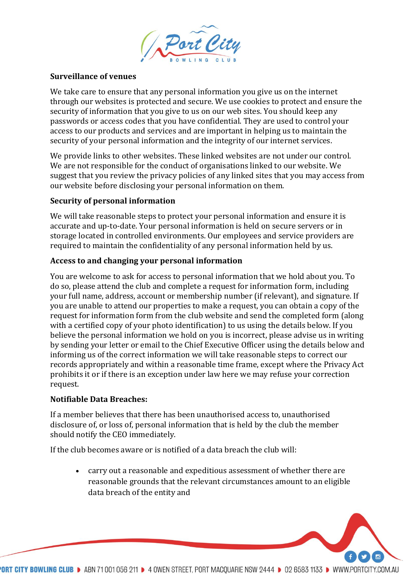

#### **Surveillance of venues**

We take care to ensure that any personal information you give us on the internet through our websites is protected and secure. We use cookies to protect and ensure the security of information that you give to us on our web sites. You should keep any passwords or access codes that you have confidential. They are used to control your access to our products and services and are important in helping us to maintain the security of your personal information and the integrity of our internet services.

We provide links to other websites. These linked websites are not under our control. We are not responsible for the conduct of organisations linked to our website. We suggest that you review the privacy policies of any linked sites that you may access from our website before disclosing your personal information on them.

### **Security of personal information**

We will take reasonable steps to protect your personal information and ensure it is accurate and up-to-date. Your personal information is held on secure servers or in storage located in controlled environments. Our employees and service providers are required to maintain the confidentiality of any personal information held by us.

### **Access to and changing your personal information**

You are welcome to ask for access to personal information that we hold about you. To do so, please attend the club and complete a request for information form, including your full name, address, account or membership number (if relevant), and signature. If you are unable to attend our properties to make a request, you can obtain a copy of the request for information form from the club website and send the completed form (along with a certified copy of your photo identification) to us using the details below. If you believe the personal information we hold on you is incorrect, please advise us in writing by sending your letter or email to the Chief Executive Officer using the details below and informing us of the correct information we will take reasonable steps to correct our records appropriately and within a reasonable time frame, except where the Privacy Act prohibits it or if there is an exception under law here we may refuse your correction request.

### **Notifiable Data Breaches:**

If a member believes that there has been unauthorised access to, unauthorised disclosure of, or loss of, personal information that is held by the club the member should notify the CEO immediately.

If the club becomes aware or is notified of a data breach the club will:

• carry out a reasonable and expeditious assessment of whether there are reasonable grounds that the relevant circumstances amount to an eligible data breach of the entity and